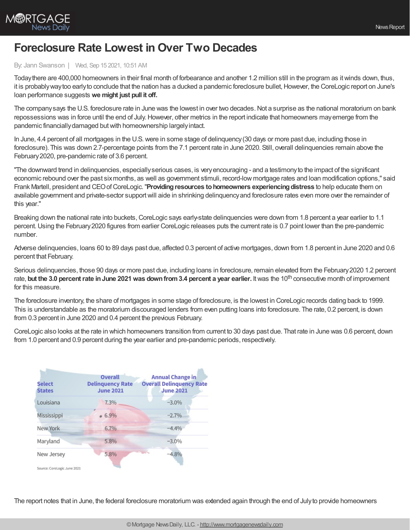

## **Foreclosure Rate Lowest in Over Two Decades**

## By: Jann Swanson | Wed, Sep 15 2021, 10:51 AM

Todaythere are 400,000 homeowners in their final month of forbearance and another 1.2 million still in the program as itwinds down, thus, it is probably way too early to conclude that the nation has a ducked a pandemic foreclosure bullet, However, the CoreLogic report on June's loan performance suggests **we might just pull it off.**

The company says the U.S. foreclosure rate in June was the lowest in over two decades. Not a surprise as the national moratorium on bank repossessions was in force until the end of July. However, other metrics in the report indicate that homeowners may emerge from the pandemic financiallydamaged butwith homeownership largelyintact.

In June, 4.4 percent of all mortgages in the U.S.were in some stage of delinquency(30 days or more past due, including those in foreclosure). This was down 2.7-percentage points from the 7.1 percent rate in June 2020. Still, overall delinquencies remain above the February2020, pre-pandemic rate of 3.6 percent.

"The downward trend in delinquencies, especiallyserious cases, is veryencouraging - and a testimonyto the impact of the significant economic rebound over the past sixmonths, as well as government stimuli, record-low mortgage rates and loan modification options," said Frank Martell, president and CEOofCoreLogic."**Providingresources tohomeowners experiencingdistress** to help educate them on available government and private-sector supportwill aide in shrinking delinquencyand foreclosure rates even more over the remainder of this year."

Breaking down the national rate into buckets, CoreLogic says early-state delinquencies were down from 1.8 percent a year earlier to 1.1 percent.Using the February2020 figures from earlier CoreLogic releases puts the current rate is 0.7 point lower than the pre-pandemic number.

Adverse delinquencies, loans 60 to 89 days past due, affected 0.3 percent of active mortgages, down from 1.8 percent in June 2020 and 0.6 percent that February.

Serious delinquencies, those 90 days or more past due, including loans in foreclosure, remain elevated from the February 2020 1.2 percent rate, but the 3.0 percent rate in June 2021 was down from 3.4 percent a year earlier. It was the 10<sup>th</sup> consecutive month of improvement for this measure.

The foreclosure inventory, the share of mortgages in some stage of foreclosure, is the lowest in CoreLogic records dating back to 1999. This is understandable as the moratorium discouraged lenders from even putting loans into foreclosure. The rate, 0.2 percent, is down from 0.3 percent in June 2020 and 0.4 percent the previous February.

CoreLogic also looks at the rate in which homeowners transition from current to 30 days past due. That rate in June was 0.6 percent, down from 1.0 percent and 0.9 percent during the year earlier and pre-pandemic periods, respectively.



The report notes that in June, the federal foreclosure moratorium was extended again through the end of Julyto provide homeowners